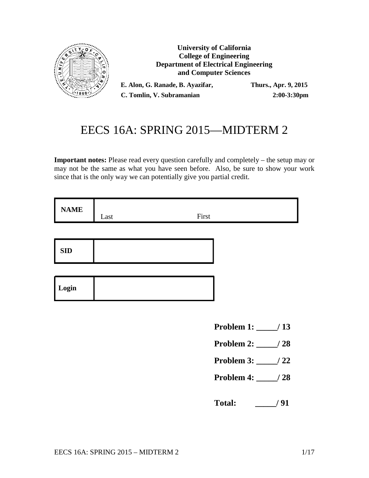

**University of California College of Engineering Department of Electrical Engineering and Computer Sciences**

**E. Alon, G. Ranade, B. Ayazifar, Thurs., Apr. 9, 2015 C. Tomlin, V. Subramanian 2:00-3:30pm**

# EECS 16A: SPRING 2015—MIDTERM 2

**Important notes:** Please read every question carefully and completely – the setup may or may not be the same as what you have seen before. Also, be sure to show your work since that is the only way we can potentially give you partial credit.

| <b>NAME</b> | Last | First |
|-------------|------|-------|
|             |      |       |
| <b>SID</b>  |      |       |
|             |      |       |
| Login       |      |       |
|             |      |       |

- **Problem 1: \_\_\_\_\_/ 13**
- **Problem 2: \_\_\_\_\_/ 28**
- **Problem 3: \_\_\_\_\_/ 22**
- **Problem 4: \_\_\_\_\_/ 28**
- **Total: \_\_\_\_\_/ 91**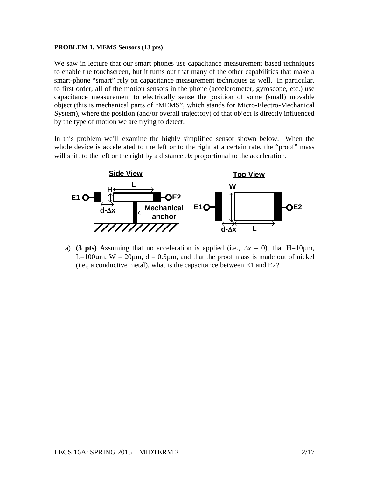#### **PROBLEM 1. MEMS Sensors (13 pts)**

We saw in lecture that our smart phones use capacitance measurement based techniques to enable the touchscreen, but it turns out that many of the other capabilities that make a smart-phone "smart" rely on capacitance measurement techniques as well. In particular, to first order, all of the motion sensors in the phone (accelerometer, gyroscope, etc.) use capacitance measurement to electrically sense the position of some (small) movable object (this is mechanical parts of "MEMS", which stands for Micro-Electro-Mechanical System), where the position (and/or overall trajectory) of that object is directly influenced by the type of motion we are trying to detect.

In this problem we'll examine the highly simplified sensor shown below. When the whole device is accelerated to the left or to the right at a certain rate, the "proof" mass will shift to the left or the right by a distance ∆*x* proportional to the acceleration.



a) **(3 pts)** Assuming that no acceleration is applied (i.e.,  $\Delta x = 0$ ), that H=10 $\mu$ m, L=100 $\mu$ m, W = 20 $\mu$ m, d = 0.5 $\mu$ m, and that the proof mass is made out of nickel (i.e., a conductive metal), what is the capacitance between E1 and E2?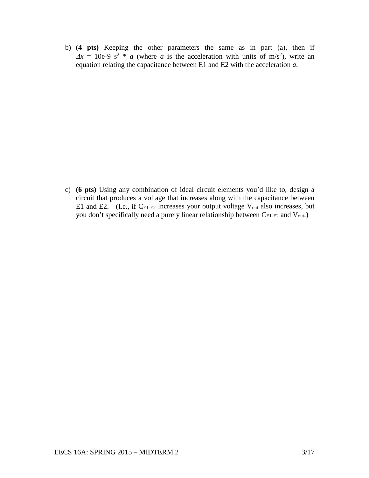b) (**4 pts)** Keeping the other parameters the same as in part (a), then if  $\Delta x = 10e-9$  s<sup>2</sup> \* *a* (where *a* is the acceleration with units of m/s<sup>2</sup>), write an equation relating the capacitance between E1 and E2 with the acceleration *a*.

c) **(6 pts)** Using any combination of ideal circuit elements you'd like to, design a circuit that produces a voltage that increases along with the capacitance between E1 and E2. (I.e., if  $C_{E1-E2}$  increases your output voltage  $V_{out}$  also increases, but you don't specifically need a purely linear relationship between C<sub>E1-E2</sub> and V<sub>out</sub>.)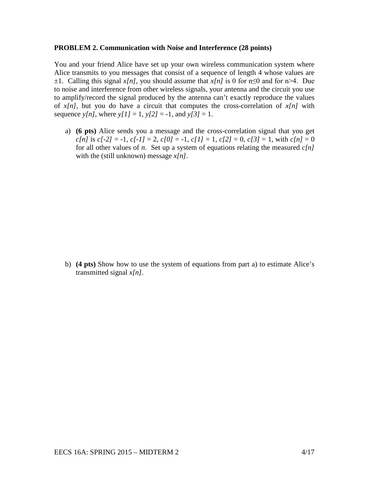### **PROBLEM 2. Communication with Noise and Interference (28 points)**

You and your friend Alice have set up your own wireless communication system where Alice transmits to you messages that consist of a sequence of length 4 whose values are  $\pm 1$ . Calling this signal *x[n]*, you should assume that *x[n]* is 0 for n $\leq 0$  and for n $\geq 4$ . Due to noise and interference from other wireless signals, your antenna and the circuit you use to amplify/record the signal produced by the antenna can't exactly reproduce the values of  $x[n]$ , but you do have a circuit that computes the cross-correlation of  $x[n]$  with sequence *y*[*n*], where *y*[*1*] = 1, *y*[2] = -1, and *y*[3] = 1.

a) **(6 pts)** Alice sends you a message and the cross-correlation signal that you get *c*[*n*] is *c*[-2] = -1, *c*[-1] = 2, *c*[0] = -1, *c*[1] = 1, *c*[2] = 0, *c*[3] = 1, with *c*[*n*] = 0 for all other values of *n*. Set up a system of equations relating the measured *c[n]* with the (still unknown) message *x[n]*.

b) **(4 pts)** Show how to use the system of equations from part a) to estimate Alice's transmitted signal *x[n]*.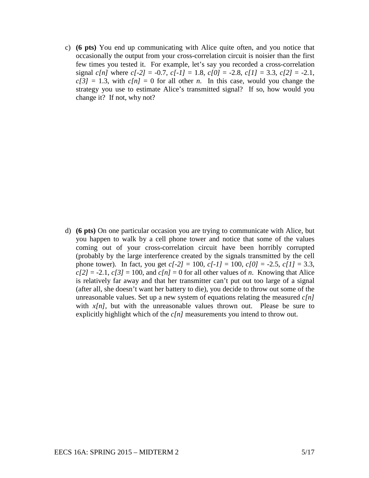c) **(6 pts)** You end up communicating with Alice quite often, and you notice that occasionally the output from your cross-correlation circuit is noisier than the first few times you tested it. For example, let's say you recorded a cross-correlation signal *c[n]* where *c[-2]* = -0.7, *c[-1]* = 1.8, *c[0]* = -2.8, *c[1]* = 3.3, *c[2]* = -2.1,  $c[3] = 1.3$ , with  $c[n] = 0$  for all other *n*. In this case, would you change the strategy you use to estimate Alice's transmitted signal? If so, how would you change it? If not, why not?

d) **(6 pts)** On one particular occasion you are trying to communicate with Alice, but you happen to walk by a cell phone tower and notice that some of the values coming out of your cross-correlation circuit have been horribly corrupted (probably by the large interference created by the signals transmitted by the cell phone tower). In fact, you get  $c[-2] = 100$ ,  $c[-1] = 100$ ,  $c[0] = -2.5$ ,  $c[1] = 3.3$ ,  $c[2] = -2.1$ ,  $c[3] = 100$ , and  $c[n] = 0$  for all other values of *n*. Knowing that Alice is relatively far away and that her transmitter can't put out too large of a signal (after all, she doesn't want her battery to die), you decide to throw out some of the unreasonable values. Set up a new system of equations relating the measured *c[n]* with  $x[n]$ , but with the unreasonable values thrown out. Please be sure to explicitly highlight which of the *c[n]* measurements you intend to throw out.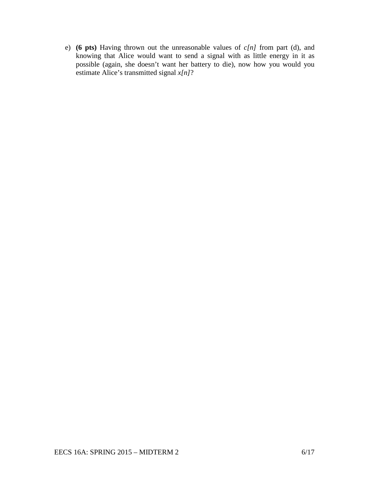e) **(6 pts)** Having thrown out the unreasonable values of *c[n]* from part (d), and knowing that Alice would want to send a signal with as little energy in it as possible (again, she doesn't want her battery to die), now how you would you estimate Alice's transmitted signal *x[n]*?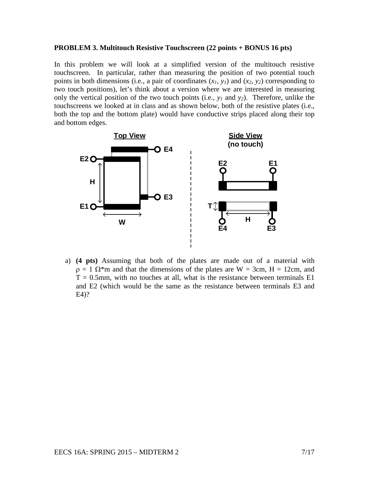## **PROBLEM 3. Multitouch Resistive Touchscreen (22 points + BONUS 16 pts)**

In this problem we will look at a simplified version of the multitouch resistive touchscreen. In particular, rather than measuring the position of two potential touch points in both dimensions (i.e., a pair of coordinates  $(x_1, y_1)$  and  $(x_2, y_2)$  corresponding to two touch positions), let's think about a version where we are interested in measuring only the vertical position of the two touch points (i.e., *y1* and *y2*). Therefore, unlike the touchscreens we looked at in class and as shown below, both of the resistive plates (i.e., both the top and the bottom plate) would have conductive strips placed along their top and bottom edges.



a) **(4 pts)** Assuming that both of the plates are made out of a material with  $\rho = 1$   $\Omega^*$ m and that the dimensions of the plates are W = 3cm, H = 12cm, and  $T = 0.5$ mm, with no touches at all, what is the resistance between terminals  $E1$ and E2 (which would be the same as the resistance between terminals E3 and E4)?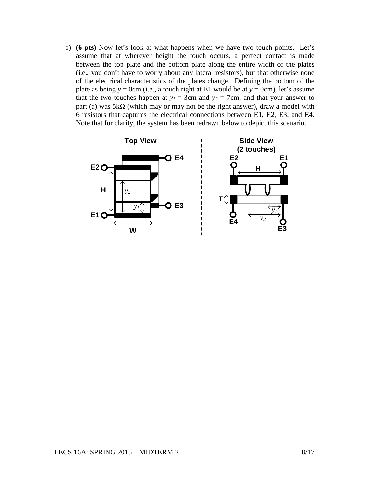b) **(6 pts)** Now let's look at what happens when we have two touch points. Let's assume that at wherever height the touch occurs, a perfect contact is made between the top plate and the bottom plate along the entire width of the plates (i.e., you don't have to worry about any lateral resistors), but that otherwise none of the electrical characteristics of the plates change. Defining the bottom of the plate as being  $y = 0$ cm (i.e., a touch right at E1 would be at  $y = 0$ cm), let's assume that the two touches happen at  $y_1 = 3$ cm and  $y_2 = 7$ cm, and that your answer to part (a) was  $5k\Omega$  (which may or may not be the right answer), draw a model with 6 resistors that captures the electrical connections between E1, E2, E3, and E4. Note that for clarity, the system has been redrawn below to depict this scenario.

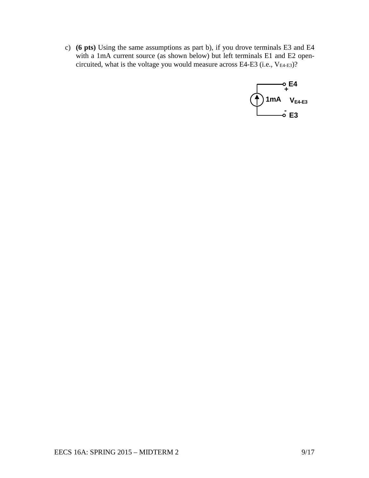c) **(6 pts)** Using the same assumptions as part b), if you drove terminals E3 and E4 with a 1mA current source (as shown below) but left terminals E1 and E2 opencircuited, what is the voltage you would measure across E4-E3 (i.e.,  $V_{E4-E3}$ )?

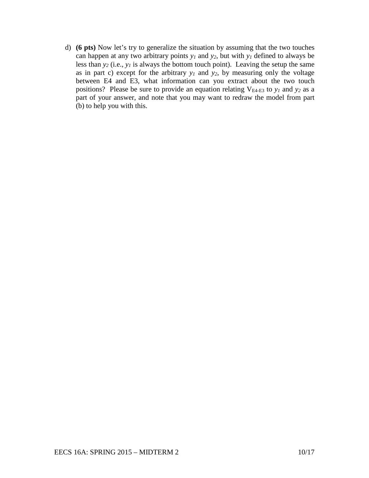d) **(6 pts)** Now let's try to generalize the situation by assuming that the two touches can happen at any two arbitrary points *y1* and *y2*, but with *y1* defined to always be less than  $y_2$  (i.e.,  $y_1$  is always the bottom touch point). Leaving the setup the same as in part c) except for the arbitrary  $y_1$  and  $y_2$ , by measuring only the voltage between E4 and E3, what information can you extract about the two touch positions? Please be sure to provide an equation relating VE4-E3 to *y1* and *y2* as a part of your answer, and note that you may want to redraw the model from part (b) to help you with this.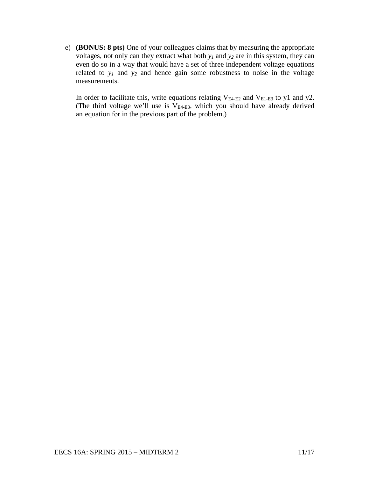e) **(BONUS: 8 pts)** One of your colleagues claims that by measuring the appropriate voltages, not only can they extract what both *y1* and *y2* are in this system, they can even do so in a way that would have a set of three independent voltage equations related to  $y_1$  and  $y_2$  and hence gain some robustness to noise in the voltage measurements.

In order to facilitate this, write equations relating  $V_{E4-E2}$  and  $V_{E1-E3}$  to y1 and y2. (The third voltage we'll use is  $V_{E4-E3}$ , which you should have already derived an equation for in the previous part of the problem.)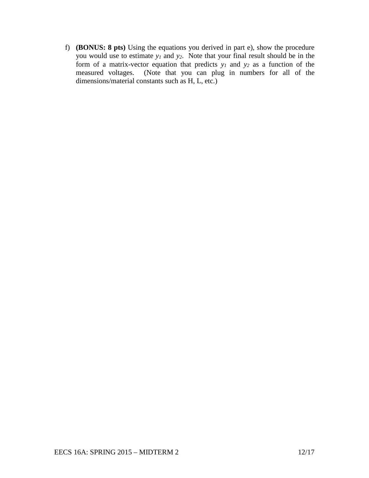f) **(BONUS: 8 pts)** Using the equations you derived in part e), show the procedure you would use to estimate *y1* and *y2*. Note that your final result should be in the form of a matrix-vector equation that predicts *y1* and *y2* as a function of the measured voltages. (Note that you can plug in numbers for all of the dimensions/material constants such as H, L, etc.)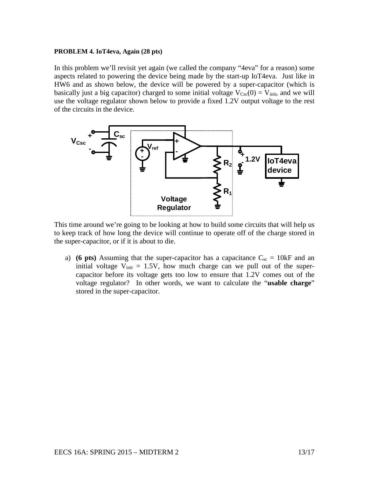### **PROBLEM 4. IoT4eva, Again (28 pts)**

In this problem we'll revisit yet again (we called the company "4eva" for a reason) some aspects related to powering the device being made by the start-up IoT4eva. Just like in HW6 and as shown below, the device will be powered by a super-capacitor (which is basically just a big capacitor) charged to some initial voltage  $V_{Csc}(0) = V_{init}$ , and we will use the voltage regulator shown below to provide a fixed 1.2V output voltage to the rest of the circuits in the device.



This time around we're going to be looking at how to build some circuits that will help us to keep track of how long the device will continue to operate off of the charge stored in the super-capacitor, or if it is about to die.

a) **(6 pts)** Assuming that the super-capacitor has a capacitance  $C_{sc} = 10kF$  and an initial voltage  $V_{init} = 1.5V$ , how much charge can we pull out of the supercapacitor before its voltage gets too low to ensure that 1.2V comes out of the voltage regulator? In other words, we want to calculate the "**usable charge**" stored in the super-capacitor.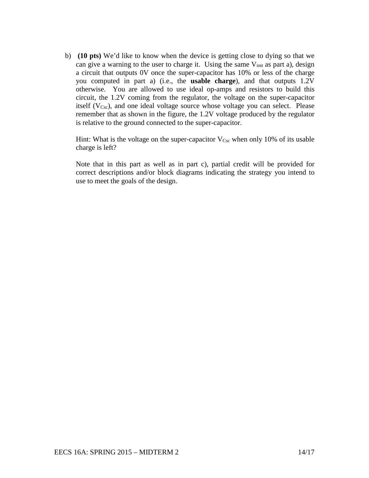b) **(10 pts)** We'd like to know when the device is getting close to dying so that we can give a warning to the user to charge it. Using the same  $V_{init}$  as part a), design a circuit that outputs 0V once the super-capacitor has 10% or less of the charge you computed in part a) (i.e., the **usable charge**), and that outputs 1.2V otherwise. You are allowed to use ideal op-amps and resistors to build this circuit, the 1.2V coming from the regulator, the voltage on the super-capacitor itself  $(V_{Csc})$ , and one ideal voltage source whose voltage you can select. Please remember that as shown in the figure, the 1.2V voltage produced by the regulator is relative to the ground connected to the super-capacitor.

Hint: What is the voltage on the super-capacitor  $V_{Csc}$  when only 10% of its usable charge is left?

Note that in this part as well as in part c), partial credit will be provided for correct descriptions and/or block diagrams indicating the strategy you intend to use to meet the goals of the design.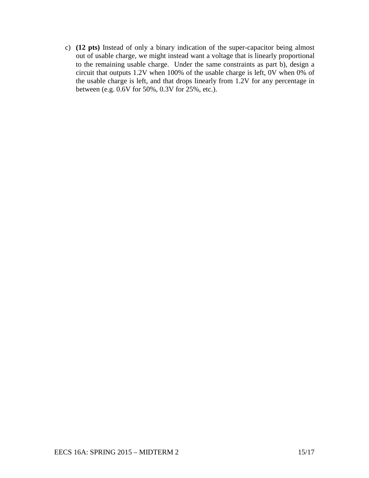c) **(12 pts)** Instead of only a binary indication of the super-capacitor being almost out of usable charge, we might instead want a voltage that is linearly proportional to the remaining usable charge. Under the same constraints as part b), design a circuit that outputs 1.2V when 100% of the usable charge is left, 0V when 0% of the usable charge is left, and that drops linearly from 1.2V for any percentage in between (e.g. 0.6V for 50%, 0.3V for 25%, etc.).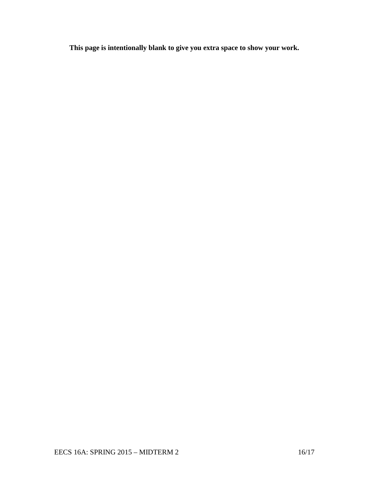**This page is intentionally blank to give you extra space to show your work.**